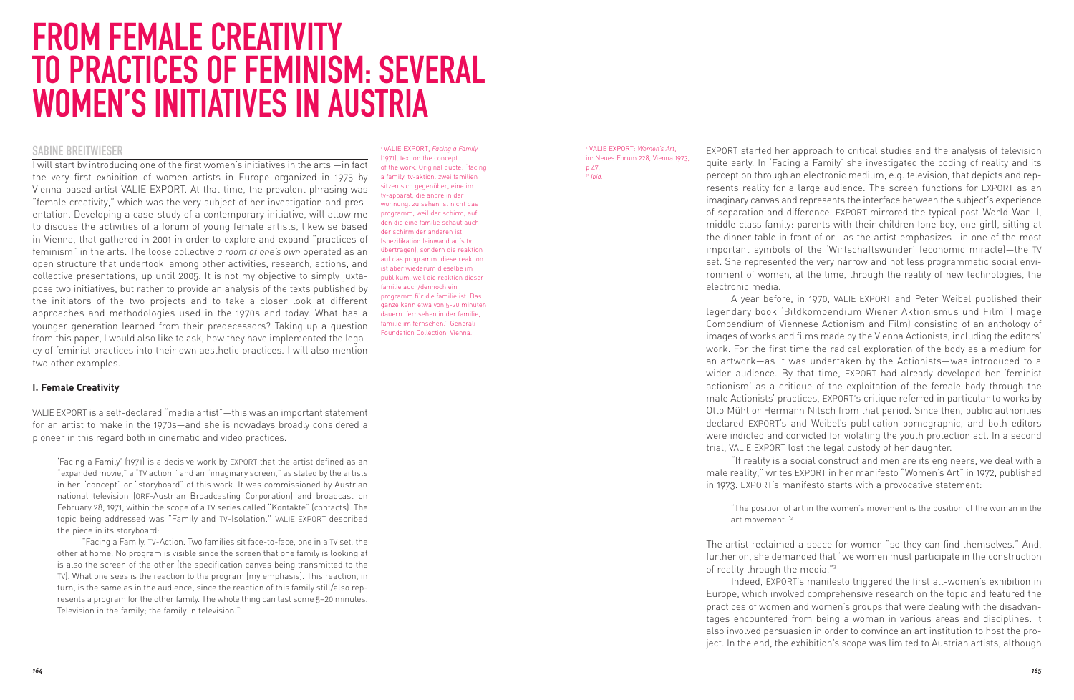# FROM FEMALE CREATIVITY TO PRACTICES OF FEMINISM: SEVERAL WOMEN'S INITIATIVES IN AUSTRIA

# SABINE BREITWIESER

I will start by introducing one of the first women's initiatives in the arts —in fact the very first exhibition of women artists in Europe organized in 1975 by Vienna-based artist VALIE EXPORT. At that time, the prevalent phrasing was "female creativity," which was the very subject of her investigation and presentation. Developing a case-study of a contemporary initiative, will allow me to discuss the activities of a forum of young female artists, likewise based in Vienna, that gathered in 2001 in order to explore and expand "practices of feminism" in the arts. The loose collective *a room of one's own* operated as an open structure that undertook, among other activities, research, actions, and collective presentations, up until 2005. It is not my objective to simply juxtapose two initiatives, but rather to provide an analysis of the texts published by the initiators of the two projects and to take a closer look at different approaches and methodologies used in the 1970s and today. What has a younger generation learned from their predecessors? Taking up a question from this paper, I would also like to ask, how they have implemented the legacy of feminist practices into their own aesthetic practices. I will also mention two other examples.

<sup>1</sup> VALIE EXPORT, *Facing a Family* (1971), text on the concept of the work. Original quote: "facing a family. tv-aktion. zwei familien sitzen sich gegenüber, eine im tv-apparat, die andre in der wohnung. zu sehen ist nicht das programm, weil der schirm, auf den die eine familie schaut auch der schirm der anderen ist (spezifikation leinwand aufs tv übertragen), sondern die reaktion auf das programm. diese reaktion ist aber wiederum dieselbe im publikum, weil die reaktion dieser familie auch/dennoch ein programm für die familie ist. Das ganze kann etwa von 5-20 minuten dauern. fernsehen in der familie, familie im fernsehen." Generali Foundation Collection, Vienna.

#### <sup>2</sup> VALIE EXPORT: *Women's Art*, in: Neues Forum 228, Vienna 1973, p 47. <sup>31</sup> *Ibid.*

EXPORT started her approach to critical studies and the analysis of television quite early. In 'Facing a Family' she investigated the coding of reality and its perception through an electronic medium, e.g. television, that depicts and represents reality for a large audience. The screen functions for EXPORT as an imaginary canvas and represents the interface between the subject's experience of separation and difference. EXPORT mirrored the typical post-World-War-II, middle class family: parents with their children (one boy, one girl), sitting at the dinner table in front of or—as the artist emphasizes—in one of the most important symbols of the 'Wirtschaftswunder' (economic miracle)—the TV set. She represented the very narrow and not less programmatic social environment of women, at the time, through the reality of new technologies, the electronic media.

A year before, in 1970, VALIE EXPORT and Peter Weibel published their legendary book 'Bildkompendium Wiener Aktionismus und Film' (Image Compendium of Viennese Actionism and Film) consisting of an anthology of images of works and films made by the Vienna Actionists, including the editors' work. For the first time the radical exploration of the body as a medium for an artwork—as it was undertaken by the Actionists—was introduced to a wider audience. By that time, EXPORT had already developed her 'feminist actionism' as a critique of the exploitation of the female body through the male Actionists' practices, EXPORT's critique referred in particular to works by Otto Mühl or Hermann Nitsch from that period. Since then, public authorities declared EXPORT's and Weibel's publication pornographic, and both editors were indicted and convicted for violating the youth protection act. In a second trial, VALIE EXPORT lost the legal custody of her daughter.

"If reality is a social construct and men are its engineers, we deal with a male reality," writes EXPORT in her manifesto "Women's Art" in 1972, published in 1973. EXPORT's manifesto starts with a provocative statement:

"The position of art in the women's movement is the position of the woman in the art movement."2

The artist reclaimed a space for women "so they can find themselves." And, further on, she demanded that "we women must participate in the construction of reality through the media."3

Indeed, EXPORT's manifesto triggered the first all-women's exhibition in Europe, which involved comprehensive research on the topic and featured the practices of women and women's groups that were dealing with the disadvantages encountered from being a woman in various areas and disciplines. It also involved persuasion in order to convince an art institution to host the project. In the end, the exhibition's scope was limited to Austrian artists, although

# **I. Female Creativity**

VALIE EXPORT is a self-declared "media artist"—this was an important statement for an artist to make in the 1970s—and she is nowadays broadly considered a pioneer in this regard both in cinematic and video practices.

'Facing a Family' (1971) is a decisive work by EXPORT that the artist defined as an "expanded movie," a "TV action," and an "imaginary screen," as stated by the artists in her "concept" or "storyboard" of this work. It was commissioned by Austrian national television (ORF-Austrian Broadcasting Corporation) and broadcast on February 28, 1971, within the scope of a TV series called "Kontakte" (contacts). The topic being addressed was "Family and TV-Isolation." VALIE EXPORT described the piece in its storyboard:

"Facing a Family. TV-Action. Two families sit face-to-face, one in a TV set, the other at home. No program is visible since the screen that one family is looking at is also the screen of the other (the specification canvas being transmitted to the TV). What one sees is the reaction to the program [my emphasis]. This reaction, in turn, is the same as in the audience, since the reaction of this family still/also represents a program for the other family. The whole thing can last some 5–20 minutes. Television in the family; the family in television."1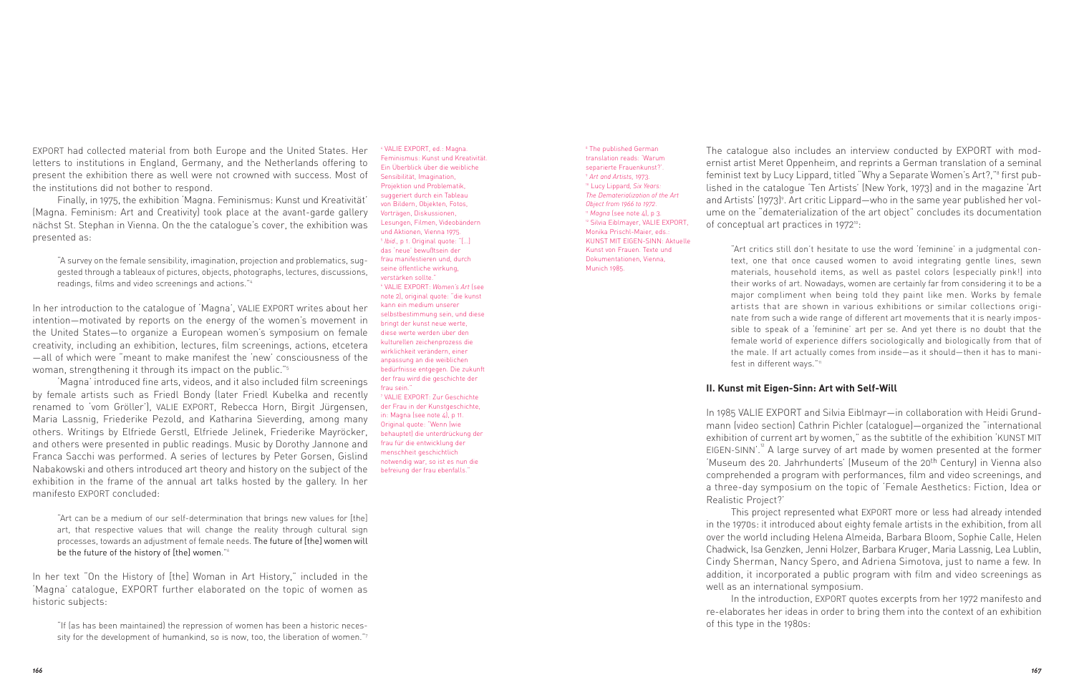EXPORT had collected material from both Europe and the United States. Her letters to institutions in England, Germany, and the Netherlands offering to present the exhibition there as well were not crowned with success. Most of the institutions did not bother to respond.

Finally, in 1975, the exhibition 'Magna. Feminismus: Kunst und Kreativität' (Magna. Feminism: Art and Creativity) took place at the avant-garde gallery nächst St. Stephan in Vienna. On the the catalogue's cover, the exhibition was presented as:

"A survey on the female sensibility, imagination, projection and problematics, suggested through a tableaux of pictures, objects, photographs, lectures, discussions, readings, films and video screenings and actions."4

In her introduction to the catalogue of 'Magna', VALIE EXPORT writes about her intention—motivated by reports on the energy of the women's movement in the United States—to organize a European women's symposium on female creativity, including an exhibition, lectures, film screenings, actions, etcetera —all of which were "meant to make manifest the 'new' consciousness of the woman, strengthening it through its impact on the public."5

'Magna' introduced fine arts, videos, and it also included film screenings by female artists such as Friedl Bondy (later Friedl Kubelka and recently renamed to 'vom Gröller'), VALIE EXPORT, Rebecca Horn, Birgit Jürgensen, Maria Lassnig, Friederike Pezold, and Katharina Sieverding, among many others. Writings by Elfriede Gerstl, Elfriede Jelinek, Friederike Mayröcker, and others were presented in public readings. Music by Dorothy Jannone and Franca Sacchi was performed. A series of lectures by Peter Gorsen, Gislind Nabakowski and others introduced art theory and history on the subject of the exhibition in the frame of the annual art talks hosted by the gallery. In her manifesto EXPORT concluded:

"Art can be a medium of our self-determination that brings new values for [the] art, that respective values that will change the reality through cultural sign processes, towards an adjustment of female needs. The future of [the] women will be the future of the history of [the] women."6

In her text "On the History of [the] Woman in Art History," included in the 'Magna' catalogue, EXPORT further elaborated on the topic of women as historic subjects:

"If (as has been maintained) the repression of women has been a historic necessity for the development of humankind, so is now, too, the liberation of women."7

VALIE EXPORT, ed.: Magna. Feminismus: Kunst und Kreativität. Ein Überblick über die weibliche Sensibilität, Imagination, Projektion und Problematik, suggeriert durch ein Tableau von Bildern, Objekten, Fotos, Vorträgen, Diskussionen, Lesungen, Filmen, Videobändern und Aktionen, Vienna 1975. <sup>5</sup> *Ibid.,* p 1. Original quote: "[…] das 'neue' bewußtsein der frau manifestieren und, durch seine öffentliche wirkung, verstärken sollte." <sup>6</sup> VALIE EXPORT: *Women's Art* (see note 2), original quote: "die kunst kann ein medium unserer selbstbestimmung sein, und diese bringt der kunst neue werte, diese werte werden über den kulturellen zeichenprozess die wirklichkeit verändern, einer anpassung an die weiblichen bedürfnisse entgegen. Die zukunft der frau wird die geschichte der frau sein." <sup>7</sup> VALIE EXPORT: Zur Geschichte der Frau in der Kunstgeschichte. in: Magna (see note 4), p 11. Original quote: "Wenn (wie behauptet) die unterdrückung der frau für die entwicklung der menschheit geschichtlich notwendig war, so ist es nun die befreiung der frau ebenfalls."

<sup>8</sup> The published German translation reads: 'Warum separierte Frauenkunst?'. <sup>9</sup> *Art and Artists,* 1973. <sup>10</sup> Lucy Lippard*, Six Years: The Dematerialization of the Art Object from 1966 to 1972*. <sup>11</sup> *Magna* (see note 4), p 3. <sup>12</sup> Silvia Eiblmayer, VALIE EXPORT, Monika Prischl-Maier, eds.: KUNST MIT EIGEN-SINN: Aktuelle Kunst von Frauen. Texte und Dokumentationen, Vienna, Munich 1985.

The catalogue also includes an interview conducted by EXPORT with modernist artist Meret Oppenheim, and reprints a German translation of a seminal feminist text by Lucy Lippard, titled "Why a Separate Women's Art?,"<sup>8</sup> first published in the catalogue 'Ten Artists' (New York, 1973) and in the magazine 'Art and Artists' (1973)<sup>9</sup>. Art critic Lippard—who in the same year published her volume on the "dematerialization of the art object" concludes its documentation of conceptual art practices in 1972<sup>10</sup>:

"Art critics still don't hesitate to use the word 'feminine' in a judgmental con text, one that once caused women to avoid integrating gentle lines, sewn materials, household items, as well as pastel colors (especially pink!) into their works of art. Nowadays, women are certainly far from considering it to be a major compliment when being told they paint like men. Works by female artists that are shown in various exhibitions or similar collections originate from such a wide range of different art movements that it is nearly impossible to speak of a 'feminine' art per se. And yet there is no doubt that the female world of experience differs sociologically and biologically from that of the male. If art actually comes from inside—as it should—then it has to manifest in different ways."11

### **II. Kunst mit Eigen-Sinn: Art with Self-Will**

In 1985 VALIE EXPORT and Silvia Eiblmayr—in collaboration with Heidi Grund mann (video section) Cathrin Pichler (catalogue)—organized the "international exhibition of current art by women," as the subtitle of the exhibition 'KUNST MIT EIGEN-SINN'.<sup>"</sup> A large survey of art made by women presented at the former 'Museum des 20. Jahrhunderts' (Museum of the 20<sup>th</sup> Century) in Vienna also comprehended a program with performances, film and video screenings, and a three-day symposium on the topic of 'Female Aesthetics: Fiction, Idea or Realistic Project?'

This project represented what EXPORT more or less had already intended in the 1970s: it introduced about eighty female artists in the exhibition, from all over the world including Helena Almeida, Barbara Bloom, Sophie Calle, Helen Chadwick, Isa Genzken, Jenni Holzer, Barbara Kruger, Maria Lassnig, Lea Lublin, Cindy Sherman, Nancy Spero, and Adriena Simotova, just to name a few. In addition, it incorporated a public program with film and video screenings as well as an international symposium.

In the introduction, EXPORT quotes excerpts from her 1972 manifesto and re-elaborates her ideas in order to bring them into the context of an exhibition of this type in the 1980s: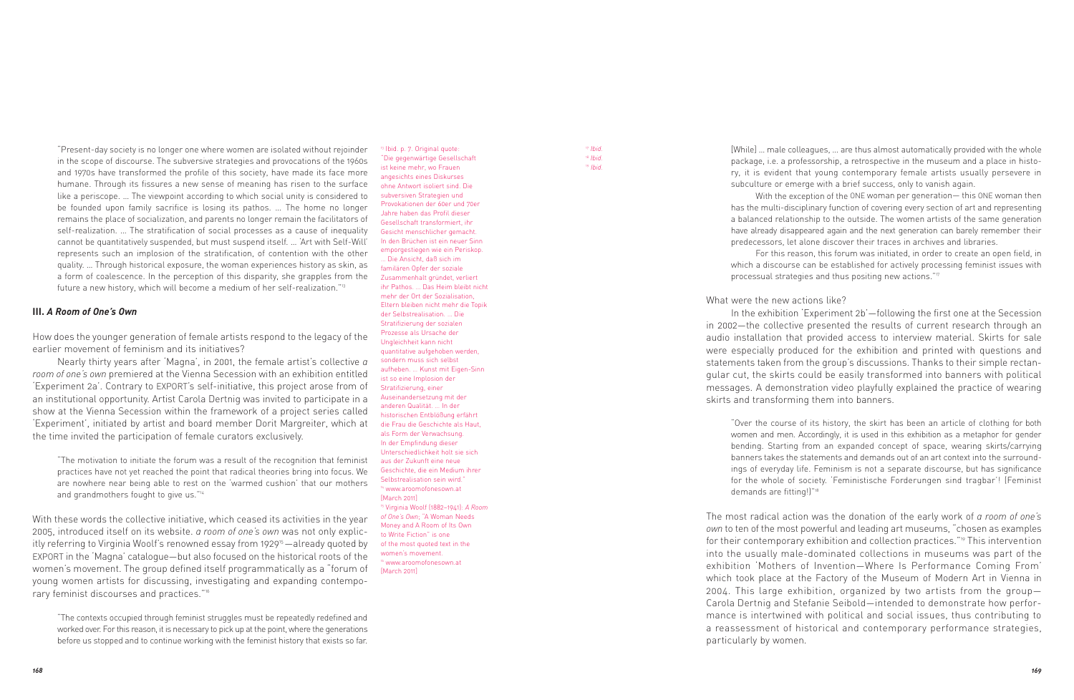and 1970s have transformed the profile of this society, have made its face more humane. Through its fissures a new sense of meaning has risen to the surface like a periscope. … The viewpoint according to which social unity is considered to be founded upon family sacrifice is losing its pathos. … The home no longer remains the place of socialization, and parents no longer remain the facilitators of self-realization. … The stratification of social processes as a cause of inequality cannot be quantitatively suspended, but must suspend itself. … 'Art with Self-Will' represents such an implosion of the stratification, of contention with the other quality. … Through historical exposure, the woman experiences history as skin, as a form of coalescence. In the perception of this disparity, she grapples from the future a new history, which will become a medium of her self-realization."<sup>13</sup> **III.** *A Room of One's Own*

"Present-day society is no longer one where women are isolated without rejoinder in the scope of discourse. The subversive strategies and provocations of the 1960s

How does the younger generation of female artists respond to the legacy of the earlier movement of feminism and its initiatives?

Nearly thirty years after 'Magna', in 2001, the female artist's collective *a room of one's own* premiered at the Vienna Secession with an exhibition entitled 'Experiment 2a'. Contrary to EXPORT's self-initiative, this project arose from of an institutional opportunity. Artist Carola Dertnig was invited to participate in a show at the Vienna Secession within the framework of a project series called 'Experiment', initiated by artist and board member Dorit Margreiter, which at the time invited the participation of female curators exclusively.

"The motivation to initiate the forum was a result of the recognition that feminist practices have not yet reached the point that radical theories bring into focus. We are nowhere near being able to rest on the 'warmed cushion' that our mothers and grandmothers fought to give us."<sup>14</sup>

With these words the collective initiative, which ceased its activities in the year 2005, introduced itself on its website. *a room of one's own* was not only explicitly referring to Virginia Woolf's renowned essay from 1929<sup>15</sup> —already quoted by EXPORT in the 'Magna' catalogue—but also focused on the historical roots of the women's movement. The group defined itself programmatically as a "forum of young women artists for discussing, investigating and expanding contemporary feminist discourses and practices."16

"The contexts occupied through feminist struggles must be repeatedly redefined and worked over. For this reason, it is necessary to pick up at the point, where the generations before us stopped and to continue working with the feminist history that exists so far.

"Die gegenwärtige Gesellschaft ist keine mehr, wo Frauen angesichts eines Diskurses ohne Antwort isoliert sind. Die subversiven Strategien und Provokationen der 60er und 70er Jahre haben das Profil dieser Gesellschaft transformiert, ihr Gesicht menschlicher gemacht. In den Brüchen ist ein neuer Sinn emporgestiegen wie ein Periskop. … Die Ansicht, daß sich im familären Opfer der soziale Zusammenhalt gründet, verliert ihr Pathos. … Das Heim bleibt nicht mehr der Ort der Sozialisation, Eltern bleiben nicht mehr die Topik der Selbstrealisation. … Die Stratifizierung der sozialen Prozesse als Ursache der Ungleichheit kann nicht quantitative aufgehoben werden, sondern muss sich selbst aufheben. … Kunst mit Eigen-Sinn ist so eine Implosion der Stratifizierung, einer Auseinandersetzung mit der anderen Qualität. … In der historischen Entblößung erfährt die Frau die Geschichte als Haut, als Form der Verwachsung. In der Empfindung dieser Unterschiedlichkeit holt sie sich aus der Zukunft eine neue Geschichte, die ein Medium ihrer Selbstrealisation sein wird." <sup>14</sup> www.aroomofonesown.at [March 2011] <sup>15</sup> Virginia Woolf (1882–1941): *A Room of One's Own*; "A Woman Needs Money and A Room of Its Own to Write Fiction" is one of the most quoted text in the women's movement. www.aroomofonesown.at [March 2011]

<sup>3</sup> Ibid. p. 7. Original quote:

<sup>17</sup> *Ibid.* <sup>18</sup> *Ibid.* <sup>19</sup> *Ibid.*

[While] … male colleagues, … are thus almost automatically provided with the whole package, i.e. a professorship, a retrospective in the museum and a place in history, it is evident that young contemporary female artists usually persevere in subculture or emerge with a brief success, only to vanish again.

With the exception of the ONE woman per generation— this ONE woman then has the multi-disciplinary function of covering every section of art and representing a balanced relationship to the outside. The women artists of the same generation have already disappeared again and the next generation can barely remember their predecessors, let alone discover their traces in archives and libraries.

For this reason, this forum was initiated, in order to create an open field, in which a discourse can be established for actively processing feminist issues with processual strategies and thus positing new actions."<sup>7</sup>

### What were the new actions like?

In the exhibition 'Experiment 2b'—following the first one at the Secession in 2002—the collective presented the results of current research through an audio installation that provided access to interview material. Skirts for sale were especially produced for the exhibition and printed with questions and statements taken from the group's discussions. Thanks to their simple rectangular cut, the skirts could be easily transformed into banners with political messages. A demonstration video playfully explained the practice of wearing skirts and transforming them into banners.

"Over the course of its history, the skirt has been an article of clothing for both women and men. Accordingly, it is used in this exhibition as a metaphor for gender bending. Starting from an expanded concept of space, wearing skirts/carrying banners takes the statements and demands out of an art context into the surroundings of everyday life. Feminism is not a separate discourse, but has significance for the whole of society. 'Feministische Forderungen sind tragbar'! (Feminist de mands are fitting!)"18

The most radical action was the donation of the early work of *a room of one's own* to ten of the most powerful and leading art museums, "chosen as examples for their contemporary exhibition and collection practices."<sup>19</sup> This intervention into the usually male-dominated collections in museums was part of the exhibition 'Mothers of Invention—Where Is Performance Coming From' which took place at the Factory of the Museum of Modern Art in Vienna in 2004. This large exhibition, organized by two artists from the group— Carola Dertnig and Stefanie Seibold—intended to demonstrate how perfor mance is intertwined with political and social issues, thus contributing to a reassessment of historical and contemporary performance strategies, particularly by women.